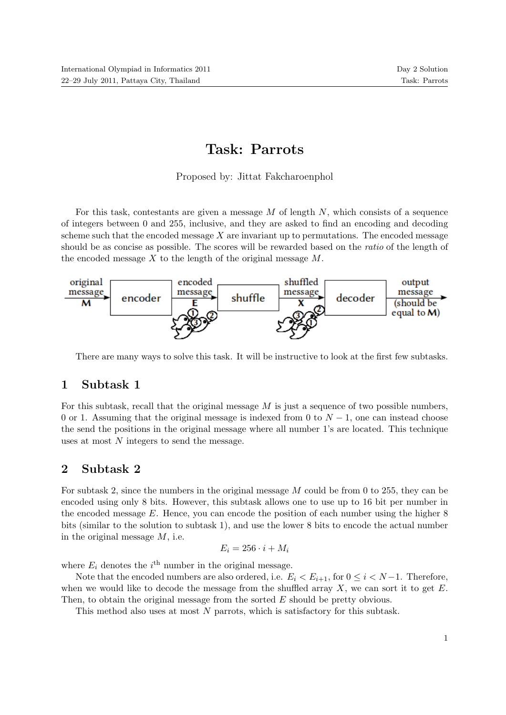# Task: Parrots

Proposed by: Jittat Fakcharoenphol

For this task, contestants are given a message  $M$  of length  $N$ , which consists of a sequence of integers between 0 and 255, inclusive, and they are asked to find an encoding and decoding scheme such that the encoded message  $X$  are invariant up to permutations. The encoded message should be as concise as possible. The scores will be rewarded based on the ratio of the length of the encoded message  $X$  to the length of the original message  $M$ .



There are many ways to solve this task. It will be instructive to look at the first few subtasks.

# 1 Subtask 1

For this subtask, recall that the original message  $M$  is just a sequence of two possible numbers, 0 or 1. Assuming that the original message is indexed from 0 to  $N-1$ , one can instead choose the send the positions in the original message where all number 1's are located. This technique uses at most N integers to send the message.

# 2 Subtask 2

For subtask 2, since the numbers in the original message M could be from 0 to 255, they can be encoded using only 8 bits. However, this subtask allows one to use up to 16 bit per number in the encoded message  $E$ . Hence, you can encode the position of each number using the higher  $8$ bits (similar to the solution to subtask 1), and use the lower 8 bits to encode the actual number in the original message M, i.e.

$$
E_i = 256 \cdot i + M_i
$$

where  $E_i$  denotes the  $i^{\text{th}}$  number in the original message.

Note that the encoded numbers are also ordered, i.e.  $E_i < E_{i+1}$ , for  $0 \le i < N-1$ . Therefore, when we would like to decode the message from the shuffled array  $X$ , we can sort it to get  $E$ . Then, to obtain the original message from the sorted E should be pretty obvious.

This method also uses at most N parrots, which is satisfactory for this subtask.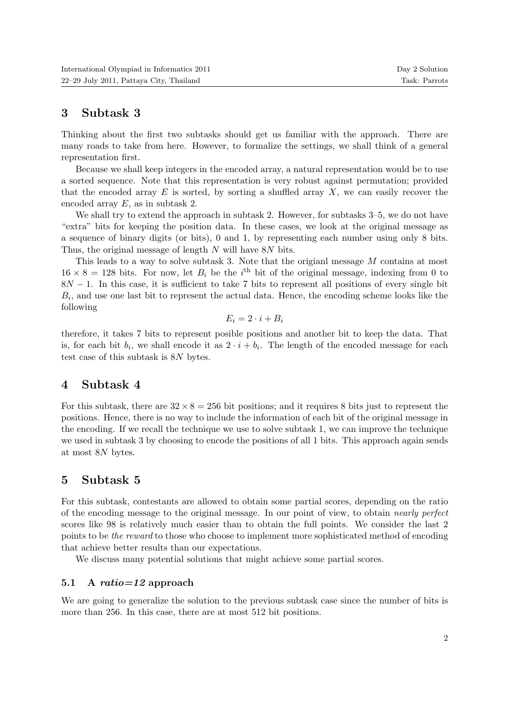# 3 Subtask 3

Thinking about the first two subtasks should get us familiar with the approach. There are many roads to take from here. However, to formalize the settings, we shall think of a general representation first.

Because we shall keep integers in the encoded array, a natural representation would be to use a sorted sequence. Note that this representation is very robust against permutation; provided that the encoded array  $E$  is sorted, by sorting a shuffled array  $X$ , we can easily recover the encoded array E, as in subtask 2.

We shall try to extend the approach in subtask 2. However, for subtasks 3–5, we do not have "extra" bits for keeping the position data. In these cases, we look at the original message as a sequence of binary digits (or bits), 0 and 1, by representing each number using only 8 bits. Thus, the original message of length N will have 8N bits.

This leads to a way to solve subtask 3. Note that the origianl message M contains at most  $16 \times 8 = 128$  bits. For now, let  $B_i$  be the i<sup>th</sup> bit of the original message, indexing from 0 to  $8N - 1$ . In this case, it is sufficient to take 7 bits to represent all positions of every single bit  $B_i$ , and use one last bit to represent the actual data. Hence, the encoding scheme looks like the following

$$
E_i = 2 \cdot i + B_i
$$

therefore, it takes 7 bits to represent posible positions and another bit to keep the data. That is, for each bit  $b_i$ , we shall encode it as  $2 \cdot i + b_i$ . The length of the encoded message for each test case of this subtask is 8N bytes.

### 4 Subtask 4

For this subtask, there are  $32 \times 8 = 256$  bit positions; and it requires 8 bits just to represent the positions. Hence, there is no way to include the information of each bit of the original message in the encoding. If we recall the technique we use to solve subtask 1, we can improve the technique we used in subtask 3 by choosing to encode the positions of all 1 bits. This approach again sends at most 8N bytes.

# 5 Subtask 5

For this subtask, contestants are allowed to obtain some partial scores, depending on the ratio of the encoding message to the original message. In our point of view, to obtain nearly perfect scores like 98 is relatively much easier than to obtain the full points. We consider the last 2 points to be the reward to those who choose to implement more sophisticated method of encoding that achieve better results than our expectations.

We discuss many potential solutions that might achieve some partial scores.

### 5.1 A ratio=12 approach

We are going to generalize the solution to the previous subtask case since the number of bits is more than 256. In this case, there are at most 512 bit positions.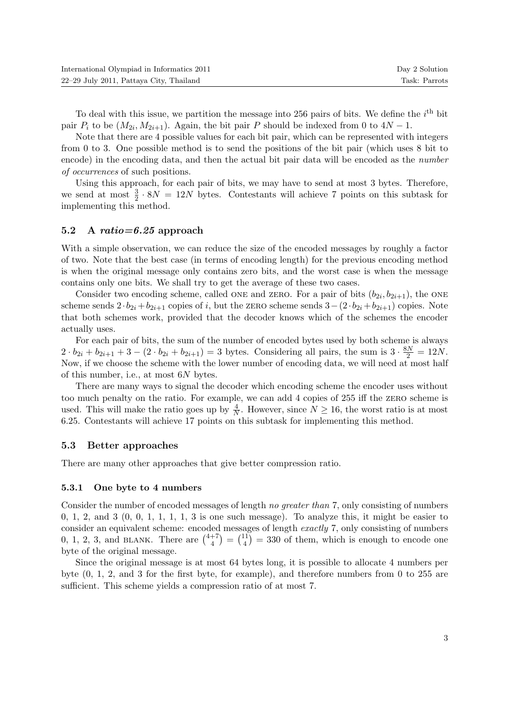| International Olympiad in Informatics 2011 | Day 2 Solution |
|--------------------------------------------|----------------|
| 22–29 July 2011, Pattaya City, Thailand    | Task: Parrots  |

To deal with this issue, we partition the message into 256 pairs of bits. We define the  $i<sup>th</sup>$  bit pair  $P_i$  to be  $(M_{2i}, M_{2i+1})$ . Again, the bit pair P should be indexed from 0 to  $4N-1$ .

Note that there are 4 possible values for each bit pair, which can be represented with integers from 0 to 3. One possible method is to send the positions of the bit pair (which uses 8 bit to encode) in the encoding data, and then the actual bit pair data will be encoded as the *number* of occurrences of such positions.

Using this approach, for each pair of bits, we may have to send at most 3 bytes. Therefore, we send at most  $\frac{3}{2} \cdot 8N = 12N$  bytes. Contestants will achieve 7 points on this subtask for implementing this method.

### 5.2 A  $ratio=6.25$  approach

With a simple observation, we can reduce the size of the encoded messages by roughly a factor of two. Note that the best case (in terms of encoding length) for the previous encoding method is when the original message only contains zero bits, and the worst case is when the message contains only one bits. We shall try to get the average of these two cases.

Consider two encoding scheme, called ONE and ZERO. For a pair of bits  $(b_{2i}, b_{2i+1})$ , the ONE scheme sends  $2 \cdot b_{2i} + b_{2i+1}$  copies of i, but the zERO scheme sends  $3-(2 \cdot b_{2i} + b_{2i+1})$  copies. Note that both schemes work, provided that the decoder knows which of the schemes the encoder actually uses.

For each pair of bits, the sum of the number of encoded bytes used by both scheme is always  $2 \cdot b_{2i} + b_{2i+1} + 3 - (2 \cdot b_{2i} + b_{2i+1}) = 3$  bytes. Considering all pairs, the sum is  $3 \cdot \frac{8N}{2} = 12N$ . Now, if we choose the scheme with the lower number of encoding data, we will need at most half of this number, i.e., at most 6N bytes.

There are many ways to signal the decoder which encoding scheme the encoder uses without too much penalty on the ratio. For example, we can add 4 copies of 255 iff the zero scheme is used. This will make the ratio goes up by  $\frac{4}{N}$ . However, since  $N \ge 16$ , the worst ratio is at most 6.25. Contestants will achieve 17 points on this subtask for implementing this method.

#### 5.3 Better approaches

There are many other approaches that give better compression ratio.

#### 5.3.1 One byte to 4 numbers

Consider the number of encoded messages of length no greater than 7, only consisting of numbers 0, 1, 2, and 3  $(0, 0, 1, 1, 1, 1, 3$  is one such message). To analyze this, it might be easier to consider an equivalent scheme: encoded messages of length exactly 7, only consisting of numbers 0, 1, 2, 3, and BLANK. There are  $\binom{4+7}{4}$  $\binom{+7}{4} = \binom{11}{4}$  $\binom{11}{4}$  = 330 of them, which is enough to encode one byte of the original message.

Since the original message is at most 64 bytes long, it is possible to allocate 4 numbers per byte (0, 1, 2, and 3 for the first byte, for example), and therefore numbers from 0 to 255 are sufficient. This scheme yields a compression ratio of at most 7.